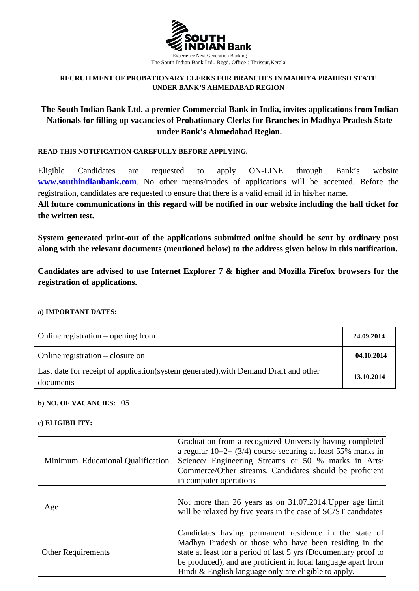

## **RECRUITMENT OF PROBATIONARY CLERKS FOR BRANCHES IN MADHYA PRADESH STATE UNDER BANK'S AHMEDABAD REGION**

**The South Indian Bank Ltd. a premier Commercial Bank in India, invites applications from Indian Nationals for filling up vacancies of Probationary Clerks for Branches in Madhya Pradesh State under Bank's Ahmedabad Region.**

#### **READ THIS NOTIFICATION CAREFULLY BEFORE APPLYING.**

Eligible Candidates are requested to apply ON-LINE through Bank's website **WWW.southindianbank.com**. No other means/modes of applications will be accepted. Before the registration, candidates are requested to ensure that there is a valid email id in his/her name.

**All future communications in this regard will be notified in our website including the hall ticket for the written test.**

**System generated print-out of the applications submitted online should be sent by ordinary post along with the relevant documents (mentioned below) to the address given below in this notification.** 

**Candidates are advised to use Internet Explorer 7 & higher and Mozilla Firefox browsers for the registration of applications.**

#### **a) IMPORTANT DATES:**

| Online registration $-$ opening from                                                              | 24.09.2014 |
|---------------------------------------------------------------------------------------------------|------------|
| Online registration – closure on                                                                  | 04.10.2014 |
| Last date for receipt of application (system generated), with Demand Draft and other<br>documents | 13.10.2014 |

#### **b) NO. OF VACANCIES:** 05

#### **c) ELIGIBILITY:**

| Minimum Educational Qualification | Graduation from a recognized University having completed<br>a regular $10+2+(3/4)$ course securing at least 55% marks in<br>Science/ Engineering Streams or 50 % marks in Arts/<br>Commerce/Other streams. Candidates should be proficient<br>in computer operations                                       |
|-----------------------------------|------------------------------------------------------------------------------------------------------------------------------------------------------------------------------------------------------------------------------------------------------------------------------------------------------------|
| Age                               | Not more than 26 years as on 31.07.2014. Upper age limit<br>will be relaxed by five years in the case of SC/ST candidates                                                                                                                                                                                  |
| <b>Other Requirements</b>         | Candidates having permanent residence in the state of<br>Madhya Pradesh or those who have been residing in the<br>state at least for a period of last 5 yrs (Documentary proof to<br>be produced), and are proficient in local language apart from<br>Hindi & English language only are eligible to apply. |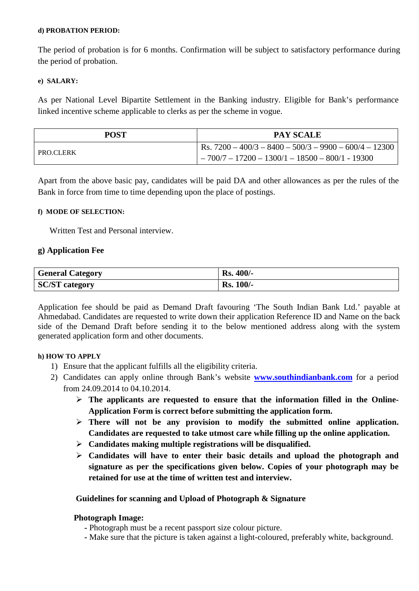#### **d) PROBATION PERIOD:**

The period of probation is for 6 months. Confirmation will be subject to satisfactory performance during the period of probation.

#### **e) SALARY:**

As per National Level Bipartite Settlement in the Banking industry. Eligible for Bank's performance linked incentive scheme applicable to clerks as per the scheme in vogue.

| <b>POST</b>      | <b>PAY SCALE</b>                                         |
|------------------|----------------------------------------------------------|
| <b>PRO.CLERK</b> | Rs. $7200 - 400/3 - 8400 - 500/3 - 9900 - 600/4 - 12300$ |
|                  | $1 - 700/7 - 17200 - 1300/1 - 18500 - 800/1 - 19300$     |

Apart from the above basic pay, candidates will be paid DA and other allowances as per the rules of the Bank in force from time to time depending upon the place of postings.

#### **f) MODE OF SELECTION:**

Written Test and Personal interview.

## **g) Application Fee**

| <b>General Category</b> | <b>Rs. 400/-</b> |
|-------------------------|------------------|
| <b>SC/ST</b> category   | <b>Rs. 100/-</b> |

Application fee should be paid as Demand Draft favouring 'The South Indian Bank Ltd.' payable at Ahmedabad. Candidates are requested to write down their application Reference ID and Name on the back side of the Demand Draft before sending it to the below mentioned address along with the system generated application form and other documents.

## **h) HOW TO APPLY**

- 1) Ensure that the applicant fulfills all the eligibility criteria.
- 2) Candidates can apply online through Bank's website **www.southindianbank.com** for a period from 24.09.2014 to 04.10.2014.
	- **The applicants are requested to ensure that the information filled in the Online-Application Form is correct before submitting the application form.**
	- **There will not be any provision to modify the submitted online application. Candidates are requested to take utmost care while filling up the online application.**
	- **Candidates making multiple registrations will be disqualified.**
	- **Candidates will have to enter their basic details and upload the photograph and signature as per the specifications given below. Copies of your photograph may be retained for use at the time of written test and interview.**

## **Guidelines for scanning and Upload of Photograph & Signature**

## **Photograph Image:**

- **-** Photograph must be a recent passport size colour picture.
- **-** Make sure that the picture is taken against a light-coloured, preferably white, background.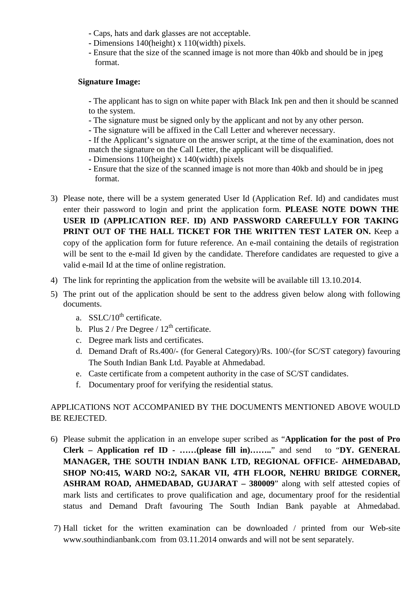- **-** Caps, hats and dark glasses are not acceptable.
- **-** Dimensions 140(height) x 110(width) pixels.
- **-** Ensure that the size of the scanned image is not more than 40kb and should be in jpeg format.

# **Signature Image:**

**-** The applicant has to sign on white paper with Black Ink pen and then it should be scanned to the system.

- **-** The signature must be signed only by the applicant and not by any other person.
- **-** The signature will be affixed in the Call Letter and wherever necessary.

**-** If the Applicant's signature on the answer script, at the time of the examination, does not match the signature on the Call Letter, the applicant will be disqualified.

- **-** Dimensions 110(height) x 140(width) pixels
- **-** Ensure that the size of the scanned image is not more than 40kb and should be in jpeg format.
- 3) Please note, there will be a system generated User Id (Application Ref. Id) and candidates must enter their password to login and print the application form. **PLEASE NOTE DOWN THE USER ID (APPLICATION REF. ID) AND PASSWORD CAREFULLY FOR TAKING**  PRINT OUT OF THE HALL TICKET FOR THE WRITTEN TEST LATER ON. Keep a copy of the application form for future reference. An e-mail containing the details of registration will be sent to the e-mail Id given by the candidate. Therefore candidates are requested to give a valid e-mail Id at the time of online registration.
- 4) The link for reprinting the application from the website will be available till 13.10.2014.
- 5) The print out of the application should be sent to the address given below along with following documents.
	- a.  $SSLC/10^{th}$  certificate.
	- b. Plus  $2 /$  Pre Degree  $/ 12<sup>th</sup>$  certificate.
	- c. Degree mark lists and certificates.
	- d. Demand Draft of Rs.400/- (for General Category)/Rs. 100/-(for SC/ST category) favouring The South Indian Bank Ltd. Payable at Ahmedabad.
	- e. Caste certificate from a competent authority in the case of SC/ST candidates.
	- f. Documentary proof for verifying the residential status.

# APPLICATIONS NOT ACCOMPANIED BY THE DOCUMENTS MENTIONED ABOVE WOULD BE REJECTED.

- 6) Please submit the application in an envelope super scribed as "**Application for the post of Pro Clerk – Application ref ID - ……(please fill in)……..**" and send to "**DY. GENERAL MANAGER, THE SOUTH INDIAN BANK LTD, REGIONAL OFFICE- AHMEDABAD, SHOP NO:415, WARD NO:2, SAKAR VII, 4TH FLOOR, NEHRU BRIDGE CORNER, ASHRAM ROAD, AHMEDABAD, GUJARAT – 380009**" along with self attested copies of mark lists and certificates to prove qualification and age, documentary proof for the residential status and Demand Draft favouring The South Indian Bank payable at Ahmedabad.
- 7) Hall ticket for the written examination can be downloaded / printed from our Web-site [www.southindianbank.com](http://www.southindianbank.com/) from 03.11.2014 onwards and will not be sent separately.